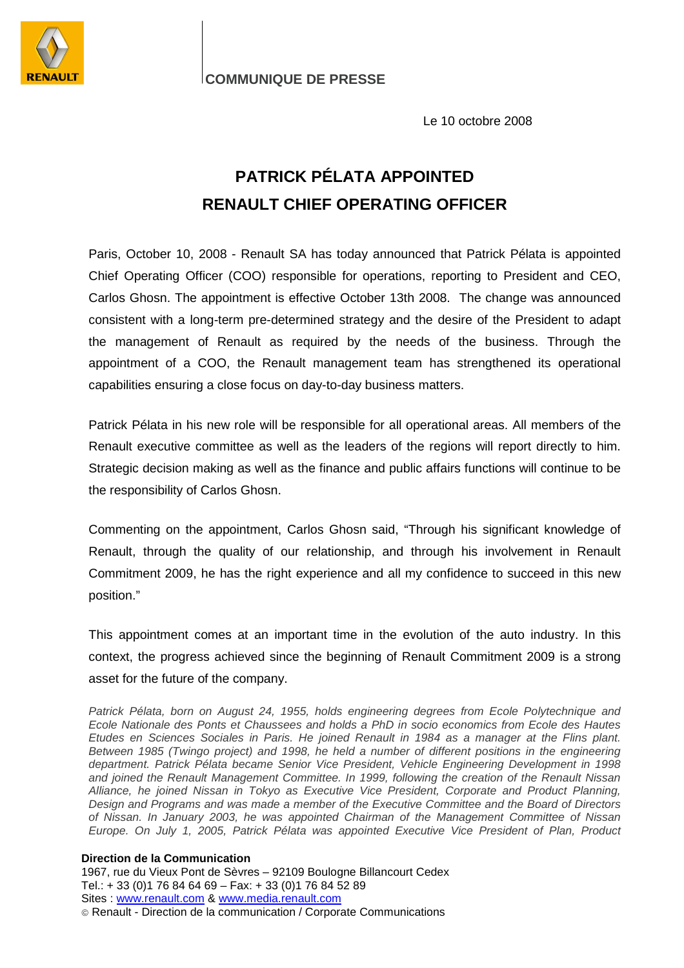

**COMMUNIQUE DE PRESSE**

Le 10 octobre 2008

## **PATRICK PÉLATA APPOINTED RENAULT CHIEF OPERATING OFFICER**

Paris, October 10, 2008 - Renault SA has today announced that Patrick Pélata is appointed Chief Operating Officer (COO) responsible for operations, reporting to President and CEO, Carlos Ghosn. The appointment is effective October 13th 2008. The change was announced consistent with a long-term pre-determined strategy and the desire of the President to adapt the management of Renault as required by the needs of the business. Through the appointment of a COO, the Renault management team has strengthened its operational capabilities ensuring a close focus on day-to-day business matters.

Patrick Pélata in his new role will be responsible for all operational areas. All members of the Renault executive committee as well as the leaders of the regions will report directly to him. Strategic decision making as well as the finance and public affairs functions will continue to be the responsibility of Carlos Ghosn.

Commenting on the appointment, Carlos Ghosn said, "Through his significant knowledge of Renault, through the quality of our relationship, and through his involvement in Renault Commitment 2009, he has the right experience and all my confidence to succeed in this new position."

This appointment comes at an important time in the evolution of the auto industry. In this context, the progress achieved since the beginning of Renault Commitment 2009 is a strong asset for the future of the company.

Patrick Pélata, born on August 24, 1955, holds engineering degrees from Ecole Polytechnique and Ecole Nationale des Ponts et Chaussees and holds a PhD in socio economics from Ecole des Hautes Etudes en Sciences Sociales in Paris. He joined Renault in 1984 as a manager at the Flins plant. Between 1985 (Twingo project) and 1998, he held a number of different positions in the engineering department. Patrick Pélata became Senior Vice President, Vehicle Engineering Development in 1998 and joined the Renault Management Committee. In 1999, following the creation of the Renault Nissan Alliance, he joined Nissan in Tokyo as Executive Vice President, Corporate and Product Planning, Design and Programs and was made a member of the Executive Committee and the Board of Directors of Nissan. In January 2003, he was appointed Chairman of the Management Committee of Nissan Europe. On July 1, 2005, Patrick Pélata was appointed Executive Vice President of Plan, Product

## **Direction de la Communication**

1967, rue du Vieux Pont de Sèvres – 92109 Boulogne Billancourt Cedex Tel.: + 33 (0)1 76 84 64 69 – Fax: + 33 (0)1 76 84 52 89 Sites : www.renault.com & www.media.renault.com Renault - Direction de la communication / Corporate Communications